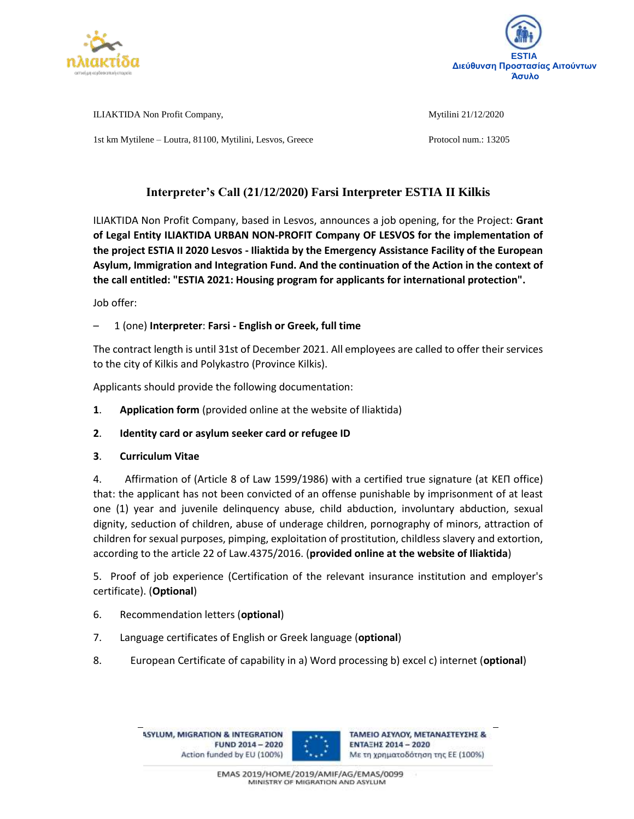



ILIAKTIDA Non Profit Company, Mytilini 21/12/2020 1st km Mytilene – Loutra, 81100, Mytilini, Lesvos, Greece Protocol num.: 13205

# **Interpreter's Call (21/12/2020) Farsi Interpreter ESTIA II Kilkis**

ILIAKTIDA Non Profit Company, based in Lesvos, announces a job opening, for the Project: **Grant of Legal Entity ILIAKTIDA URBAN NON-PROFIT Company OF LESVOS for the implementation of the project ESTIA II 2020 Lesvos - Iliaktida by the Emergency Assistance Facility of the European Asylum, Immigration and Integration Fund. And the continuation of the Action in the context of the call entitled: "ESTIA 2021: Housing program for applicants for international protection".**

Job offer:

# – 1 (one) **Interpreter**: **Farsi - English or Greek, full time**

The contract length is until 31st of December 2021. All employees are called to offer their services to the city of Kilkis and Polykastro (Province Kilkis).

Applicants should provide the following documentation:

- **1**. **Application form** (provided online at the website of Iliaktida)
- **2**. **Identity card or asylum seeker card or refugee ID**
- **3**. **Curriculum Vitae**

4. Affirmation of (Article 8 of Law 1599/1986) with a certified true signature (at ΚΕΠ office) that: the applicant has not been convicted of an offense punishable by imprisonment of at least one (1) year and juvenile delinquency abuse, child abduction, involuntary abduction, sexual dignity, seduction of children, abuse of underage children, pornography of minors, attraction of children for sexual purposes, pimping, exploitation of prostitution, childless slavery and extortion, according to the article 22 of Law.4375/2016. (**provided online at the website of Iliaktida**)

5. Proof of job experience (Certification of the relevant insurance institution and employer's certificate). (**Optional**)

- 6. Recommendation letters (**optional**)
- 7. Language certificates of English or Greek language (**optional**)
- 8. European Certificate of capability in a) Word processing b) excel c) internet (**optional**)

**ASYLUM, MIGRATION & INTEGRATION** FUND 2014 - 2020 Action funded by EU (100%)



ΤΑΜΕΙΟ ΑΣΥΛΟΥ, ΜΕΤΑΝΑΣΤΕΥΣΗΣ & ΕΝΤΑΞΗΣ 2014 - 2020 Με τη χρηματοδότηση της ΕΕ (100%)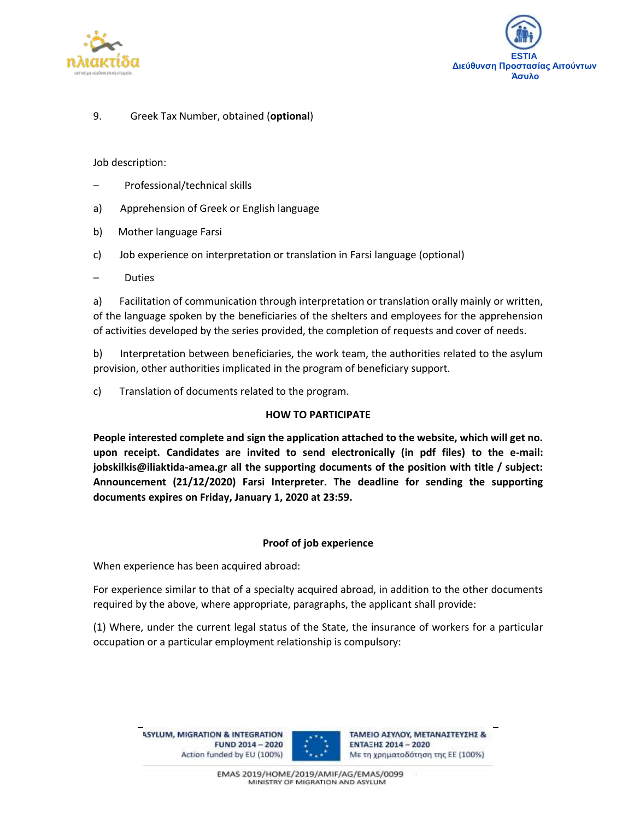



## 9. Greek Tax Number, obtained (**optional**)

#### Job description:

- Professional/technical skills
- a) Apprehension of Greek or English language
- b) Mother language Farsi
- c) Job experience on interpretation or translation in Farsi language (optional)
- Duties

a) Facilitation of communication through interpretation or translation orally mainly or written, of the language spoken by the beneficiaries of the shelters and employees for the apprehension of activities developed by the series provided, the completion of requests and cover of needs.

b) Interpretation between beneficiaries, the work team, the authorities related to the asylum provision, other authorities implicated in the program of beneficiary support.

c) Translation of documents related to the program.

#### **HOW TO PARTICIPATE**

**People interested complete and sign the application attached to the website, which will get no. upon receipt. Candidates are invited to send electronically (in pdf files) to the e-mail: jobskilkis@iliaktida-amea.gr all the supporting documents of the position with title / subject: Announcement (21/12/2020) Farsi Interpreter. The deadline for sending the supporting documents expires on Friday, January 1, 2020 at 23:59.**

### **Proof of job experience**

When experience has been acquired abroad:

For experience similar to that of a specialty acquired abroad, in addition to the other documents required by the above, where appropriate, paragraphs, the applicant shall provide:

(1) Where, under the current legal status of the State, the insurance of workers for a particular occupation or a particular employment relationship is compulsory:

**ASYLUM, MIGRATION & INTEGRATION** FUND 2014 - 2020 Action funded by EU (100%)



ΤΑΜΕΙΟ ΑΣΥΛΟΥ, ΜΕΤΑΝΑΣΤΕΥΣΗΣ & ΕΝΤΑΞΗΣ 2014 - 2020 Με τη χρηματοδότηση της ΕΕ (100%)